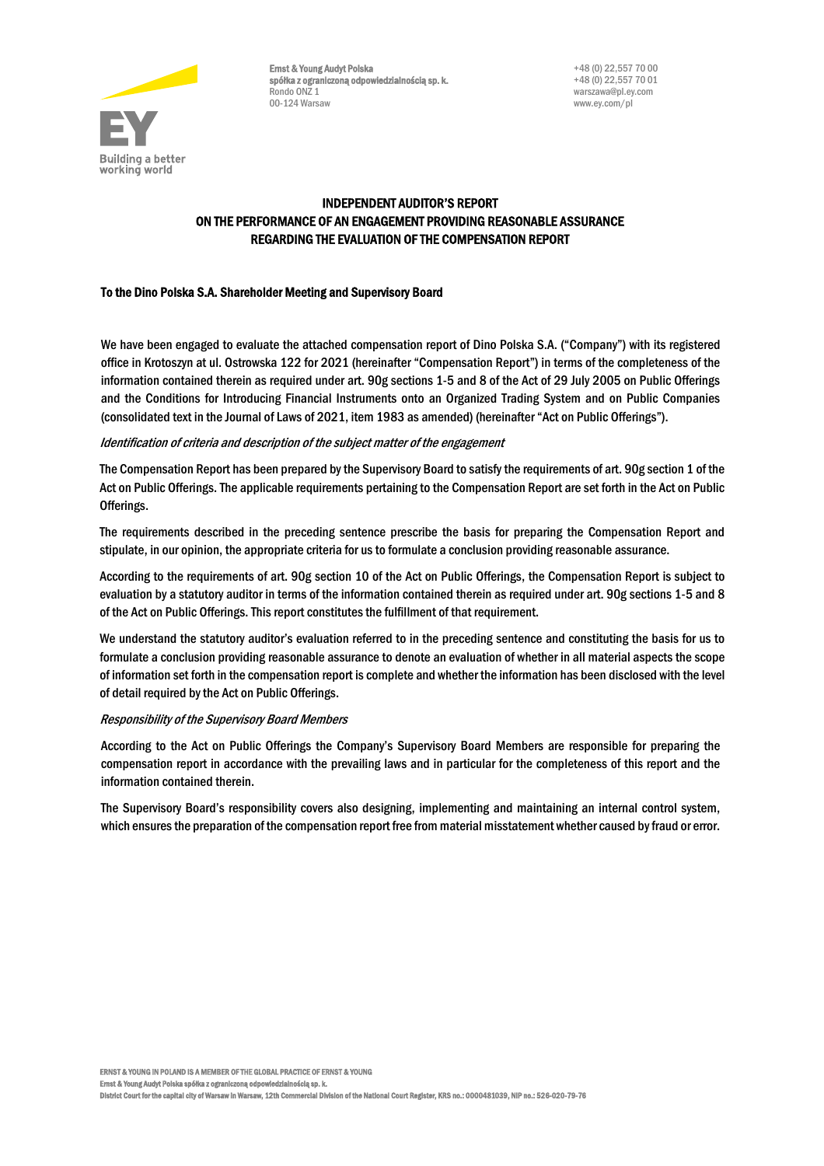

Ernst & Young Audyt Polska spółka z ograniczoną odpowiedzialnością sp. k. Rondo ONZ 1 00-124 Warsaw

# INDEPENDENT AUDITOR'S REPORT ON THE PERFORMANCE OF AN ENGAGEMENT PROVIDING REASONABLE ASSURANCE REGARDING THE EVALUATION OF THE COMPENSATION REPORT

## To the Dino Polska S.A. Shareholder Meeting and Supervisory Board

We have been engaged to evaluate the attached compensation report of Dino Polska S.A. ("Company") with its registered office in Krotoszyn at ul. Ostrowska 122 for 2021 (hereinafter "Compensation Report") in terms of the completeness of the information contained therein as required under art. 90g sections 1-5 and 8 of the Act of 29 July 2005 on Public Offerings and the Conditions for Introducing Financial Instruments onto an Organized Trading System and on Public Companies (consolidated text in the Journal of Laws of 2021, item 1983 as amended) (hereinafter "Act on Public Offerings").

## Identification of criteria and description of the subject matter of the engagement

The Compensation Report has been prepared by the Supervisory Board to satisfy the requirements of art. 90g section 1 of the Act on Public Offerings. The applicable requirements pertaining to the Compensation Report are set forth in the Act on Public Offerings.

The requirements described in the preceding sentence prescribe the basis for preparing the Compensation Report and stipulate, in our opinion, the appropriate criteria for us to formulate a conclusion providing reasonable assurance.

According to the requirements of art. 90g section 10 of the Act on Public Offerings, the Compensation Report is subject to evaluation by a statutory auditor in terms of the information contained therein as required under art. 90g sections 1-5 and 8 of the Act on Public Offerings. This report constitutes the fulfillment of that requirement.

We understand the statutory auditor's evaluation referred to in the preceding sentence and constituting the basis for us to formulate a conclusion providing reasonable assurance to denote an evaluation of whether in all material aspects the scope of information set forth in the compensation report is complete and whether the information has been disclosed with the level of detail required by the Act on Public Offerings.

## Responsibility of the Supervisory Board Members

According to the Act on Public Offerings the Company's Supervisory Board Members are responsible for preparing the compensation report in accordance with the prevailing laws and in particular for the completeness of this report and the information contained therein.

The Supervisory Board's responsibility covers also designing, implementing and maintaining an internal control system, which ensures the preparation of the compensation report free from material misstatement whether caused by fraud or error.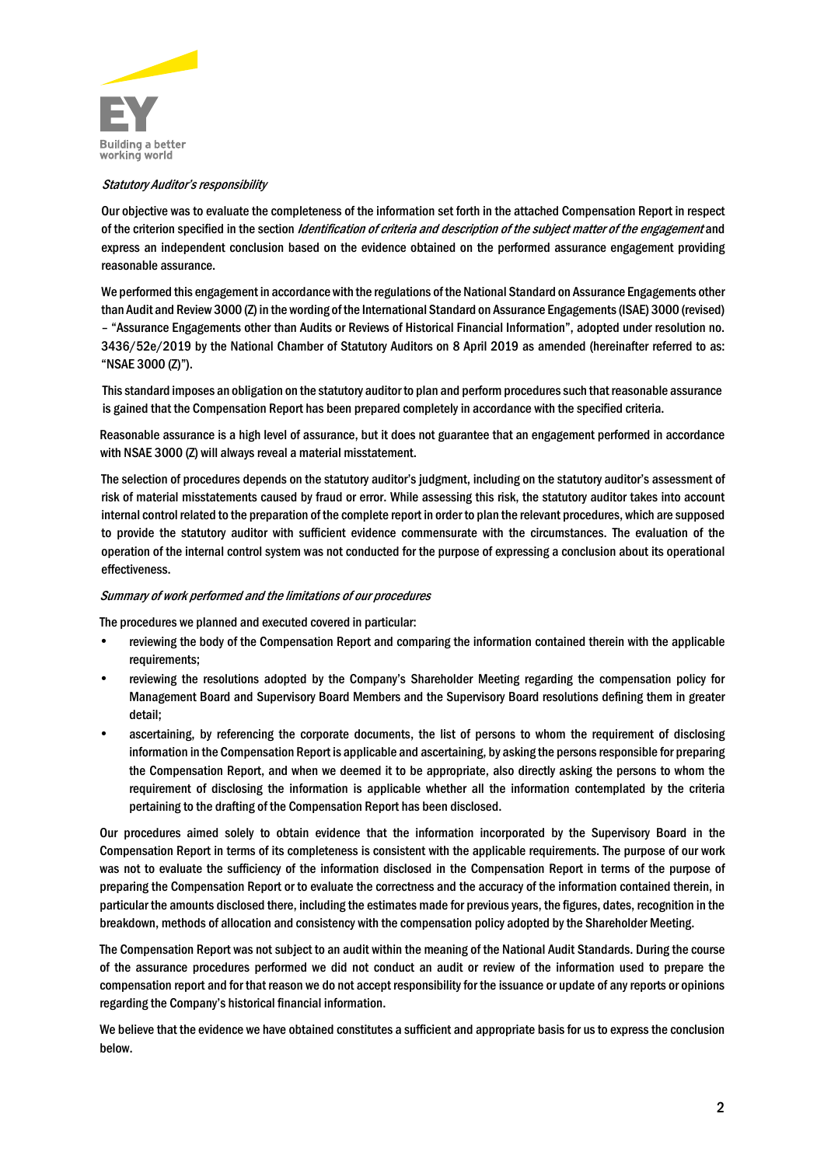

#### Statutory Auditor's responsibility

Our objective was to evaluate the completeness of the information set forth in the attached Compensation Report in respect of the criterion specified in the section *Identification of criteria and description of the subject matter of the engagement* and express an independent conclusion based on the evidence obtained on the performed assurance engagement providing reasonable assurance.

We performed this engagement in accordance with the regulations of the National Standard on Assurance Engagements other than Audit and Review 3000 (Z) in the wording of the International Standard on Assurance Engagements (ISAE) 3000 (revised) – "Assurance Engagements other than Audits or Reviews of Historical Financial Information", adopted under resolution no. 3436/52e/2019 by the National Chamber of Statutory Auditors on 8 April 2019 as amended (hereinafter referred to as: "NSAE 3000 (Z)").

This standard imposes an obligation on the statutory auditor to plan and perform procedures such that reasonable assurance is gained that the Compensation Report has been prepared completely in accordance with the specified criteria.

Reasonable assurance is a high level of assurance, but it does not guarantee that an engagement performed in accordance with NSAE 3000 (Z) will always reveal a material misstatement.

The selection of procedures depends on the statutory auditor's judgment, including on the statutory auditor's assessment of risk of material misstatements caused by fraud or error. While assessing this risk, the statutory auditor takes into account internal control related to the preparation of the complete report in order to plan the relevant procedures, which are supposed to provide the statutory auditor with sufficient evidence commensurate with the circumstances. The evaluation of the operation of the internal control system was not conducted for the purpose of expressing a conclusion about its operational effectiveness.

#### Summary of work performed and the limitations of our procedures

The procedures we planned and executed covered in particular:

- reviewing the body of the Compensation Report and comparing the information contained therein with the applicable requirements;
- reviewing the resolutions adopted by the Company's Shareholder Meeting regarding the compensation policy for Management Board and Supervisory Board Members and the Supervisory Board resolutions defining them in greater detail;
- ascertaining, by referencing the corporate documents, the list of persons to whom the requirement of disclosing information in the Compensation Report is applicable and ascertaining, by asking the persons responsible for preparing the Compensation Report, and when we deemed it to be appropriate, also directly asking the persons to whom the requirement of disclosing the information is applicable whether all the information contemplated by the criteria pertaining to the drafting of the Compensation Report has been disclosed.

Our procedures aimed solely to obtain evidence that the information incorporated by the Supervisory Board in the Compensation Report in terms of its completeness is consistent with the applicable requirements. The purpose of our work was not to evaluate the sufficiency of the information disclosed in the Compensation Report in terms of the purpose of preparing the Compensation Report or to evaluate the correctness and the accuracy of the information contained therein, in particular the amounts disclosed there, including the estimates made for previous years, the figures, dates, recognition in the breakdown, methods of allocation and consistency with the compensation policy adopted by the Shareholder Meeting.

The Compensation Report was not subject to an audit within the meaning of the National Audit Standards. During the course of the assurance procedures performed we did not conduct an audit or review of the information used to prepare the compensation report and for that reason we do not accept responsibility for the issuance or update of any reports or opinions regarding the Company's historical financial information.

We believe that the evidence we have obtained constitutes a sufficient and appropriate basis for us to express the conclusion below.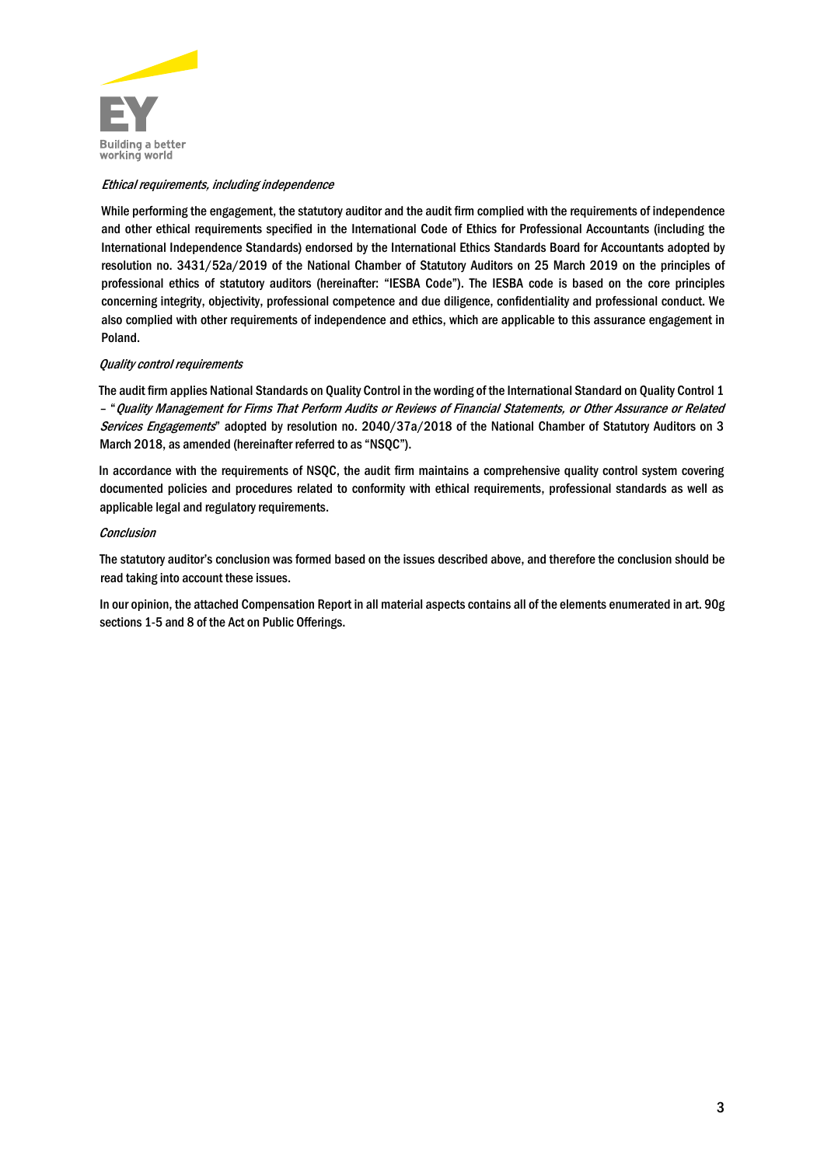

## Ethical requirements, including independence

While performing the engagement, the statutory auditor and the audit firm complied with the requirements of independence and other ethical requirements specified in the International Code of Ethics for Professional Accountants (including the International Independence Standards) endorsed by the International Ethics Standards Board for Accountants adopted by resolution no. 3431/52a/2019 of the National Chamber of Statutory Auditors on 25 March 2019 on the principles of professional ethics of statutory auditors (hereinafter: "IESBA Code"). The IESBA code is based on the core principles concerning integrity, objectivity, professional competence and due diligence, confidentiality and professional conduct. We also complied with other requirements of independence and ethics, which are applicable to this assurance engagement in Poland.

#### Quality control requirements

The audit firm applies National Standards on Quality Control in the wording of the International Standard on Quality Control 1 – "Quality Management for Firms That Perform Audits or Reviews of Financial Statements, or Other Assurance or Related Services Engagements" adopted by resolution no. 2040/37a/2018 of the National Chamber of Statutory Auditors on 3 March 2018, as amended (hereinafter referred to as "NSQC").

In accordance with the requirements of NSQC, the audit firm maintains a comprehensive quality control system covering documented policies and procedures related to conformity with ethical requirements, professional standards as well as applicable legal and regulatory requirements.

#### **Conclusion**

The statutory auditor's conclusion was formed based on the issues described above, and therefore the conclusion should be read taking into account these issues.

In our opinion, the attached Compensation Report in all material aspects contains all of the elements enumerated in art. 90g sections 1-5 and 8 of the Act on Public Offerings.